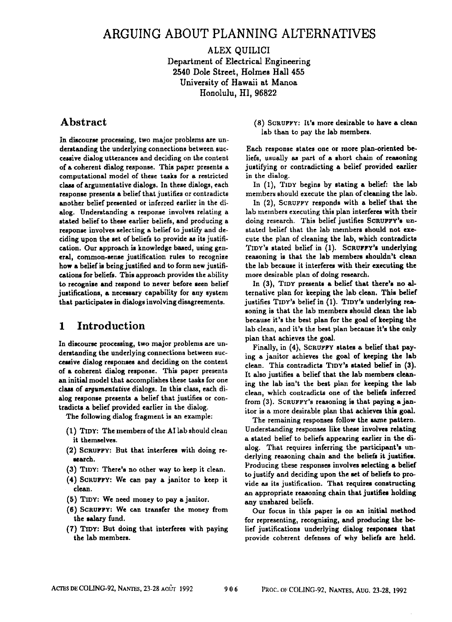# **ARGUING ABOUT PLANNING ALTERNATIVES**

### ALEX QUILICI Department of Electrical Engineering 2540 Dole Street, Holmes Hall 455 University of Hawaii at Manoa Honolulu, HI, 96822

# **Abstract**

In discourse processing, two major problems are understanding the underlying connections between successive dialog utterances and deciding on the content of a coherent dialog response. This paper presents a computational model of these tasks for a restricted class of argumentative dialogs. In these dialogs, each response presents a belief that justifies or contradicts another belief presented or inferred earlier in the dialog. Understanding a response involves relating a stated belief to these earlier beliefs, and producing a response involves selecting a belief to justify and deciding upon the set of beliefs to provide as its justification. Our approach is knowledge baaed, using general, common-sense justification rules to recognize how a belief is being justified and to form new justifications for beliefs. This approach provides the ability to recognize and respond to never before seen belief justifications, a necessary capability for any system that participates in dialogs involving disagreements.

# **1** Introduction

In discourse processing, two major problems are understanding the underlying connections between successive dialog responses and deciding on the content of a coherent dialog response. This paper presents an initial model that accomplishes these tasks for one class of *argumentative* dialogs. In this class, each dialog respouse presents a belief that justifies or contradicts a belief provided earlier in the dialog.

The following dialog fragment is an example:

- (1) TIDY: The members of the AI lab should clean it themselves.
- (2) SCRUPPY: But that interferes with doing research.
- (3) TIDY: There's no other way to keep it clean.
- (4) SCRUFf'Y: We can pay a janitor to keep it clean.
- (5) TIDY: We need money to pay a janitor.
- **(6)** SCRUFFY: We can transfer the money from the salary fund.
- **(7) TIDY:** But doing that interferes with paying the lab members.

(8) SCRUFFY: It's more desirable to have a clean lab than to pay the lab members.

Each response states one or more plan-oriented beliefs, usually as part of a short chain of reasoning justifying or contradicting a belief provided earlier in the dialog.

In (1), TIDY begins by stating a belief: the lab members should execute the plan of cleaning the lab.

In (2), SCRUFFY responds with a belief that the lab members executing this plan interferes with their doing research. This belief justifies SCRUFFY's unstated belief that the lab members should not execute the plan of cleaning the lab, which contradicts TIDY's stated belief in (1). SCRUFFY's underlying reasoning is that the lab members shouldn't clean the lab because it interferes with their executing the more desirable plan of doing research.

In (3). TIDY presents a belief that there's no alternative plan for keeping the lab clean. This belief justifies TIDY's belief in (1). TIDY's underlying reasoning is that the lab members should clean the lab because it's the best plan for the goal of keeping the lab clean, and it's the best plan because it's the only plan that achieves the goal.

Finally, in (4), SCRUFFY states a belief that paying a janitor achieves the goal of keeping the lab clean. This contradicts TIDY's stated belief in (3). It also justifies a belief that the lab members cleaning the lab isn't the best plan for keeping the lab clean, which contradicts one of the beliefs inferred from (3). SCRUFFY's reasoning is that paying a janitor is a more desirable plan that achieves this goal.

The remaining responses follow the same pattern. Understanding responses like these involves relating a stated belief to beliefs appearing earlier in the dialog. That requires inferring the participant's underlying reasoning chain and the beliefs it justifies. Producing these responses involves selecting a belief to justify and deciding upon the set of beliefs to provide as its justification. That requires constructing an appropriate reasoning chain that justifies holding any unshared beliefs.

Our focus in this paper is on an initial method for representing, recognising, and producing the belief justifications underlying dialog responses that provide coherent defenses of why beliefs are held.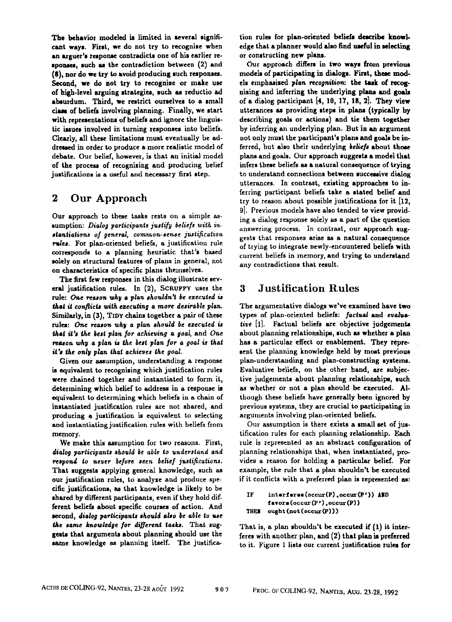The behavior modeled is limited in several significant ways. First, we do not try to recognise when an arguer's response contradicts one of his earlier responses, such as the contradiction between (2) and (8), nor do we try to avoid producing such responses. Second, we do not try to recognise or make use of high-level arguing strategies, such as reductio ed absurdum. Third, we restrict ourselves to a small clam of beliefs involving planning. Finally, we start with representations of beliefs and ignore the linguistic issues involved in turning responses into beliefs. Clearly, all these limitations must eventually be addressed in order to produce a more realistic model of debate. Our belief, however, is that an initial model of the process of rccognising and producing belief justifications is a useful and necessary first step.

# 2 Our Approach

Our approach to these tasks rests on a simple assumption: *Dialog participants justify beliefs with instantialions of general, common-sense justification*  rules. For plan-oriented beliefs, a justification rule corresponds to a planning heuristic that's based solely on structural features of plans in general, not on characteristics of specifc plans themselves.

The first few responses in this dialog illustrate several justification rules. In  $(2)$ , SCRUFFY uses the rule: One reason why a plan shouldn't be ezecuted is *that it conflicts with assenting a more desirable* plan. Similarly, in  $(3)$ , TIDY chains together a pair of these rules: One reason why a *plan should be ezecuted is that it's the best plan for achieving a goal, and One reason why a plan is the best plan for a goal is that* it's the only plan that achieves the goal.

Given our assumption, understanding a response is equivalent to recognising which justification rules were chained together and instantiated to form it, determining which belief to address in a response is equivalent to determining which beliefs in a chain of instantiated justification rules axe not shared, and producing a justification is equivalent to selecting and instantiating justification rules with beliefs from memory.

We make this assumption for two reasons. First, *dialog participants should be able to understand and respond to never before seen belief justifications.*  That suggests applying general knowledge, such as our justification rules, to analyze and produce specific justifications, as that knowledge is likely to be shared by different participants, even if they hold different beliefs about specific courses of action. And second, *dialog parlieipants should abo be able io use*  the same knowledge for different tasks. That suggests that arguments about planning should use the same knowledge as planning itself. The justification rules for plan-oriented beliefs describe knowledge that a planner would also find useful in selecting or constructing new plans.

Our approach differs in two ways from previous models of participating in dialogs. First, these models emphasised *plan recognition:* the task of recognising and inferring the underlying plans and goals of a dialog paxtlcipant [4, 10, 17, 18, 2]. They view utternnces as providing steps in plans (typically by describing goals or actions) and tie them together by inferring an underlying plan. But in an argument not only must the participant's plans and goals be inferred, but alto their underlying *belie/s* about those plans and goals. Our approach suggests a model that infers these beliefs as a natural consequence of trying to understand connections between successive dialog utterances. In contrast, existing approaches to inferring participant beliefs take a stated belief and try to reason about possible justifications for it [12, 9]. Previous models have also tended to view providing a dialog response solely as a part of the question answering process. In contrast, our approach suggests that responses arise as a natural consequence of trying to integrate newly-encountered beliefs with current beliefs in memory, and trying to understand any contradictions that result.

# **3** Justification Rules

The argumentative dialogs we've examined have two types of plan-oriented beliefs: factual and evalustive [1]. Factual beliefs are objective judgements about planning relationships, such as whether a plan has a particular effect or enablement. They represent the planning knowledge held by moat previous plan-understanding and plan-constructing systems. Evaluative beliefs, on the other hand, are subjective judgements about planning relationships, such as whether or not a plan should be executed. Although these beliefs have generally been ignored by previous systems, they are crucial to participating in arguments involving plan-oriented beliefs.

Our assumption is there exists a small set of justification rules for each planning relationship. Each rule is represented as an abstract configuration of planning relationships that, when instantiated, provides a reason for holding a particular belief. For example, the rule that a plan shouldn't be executed if it conflicts with a preferred plan is represented as:

```
IF interferes(occur(P) .occur(P')) AND
favors(occur(P'),occur(P))THEN ought (not (occur(P)))
```
That is, a plan shouldn't be executed if (1) it interferes with another plan, and (2) that plan is preferred to it. Figure 1 lists our current justification rules for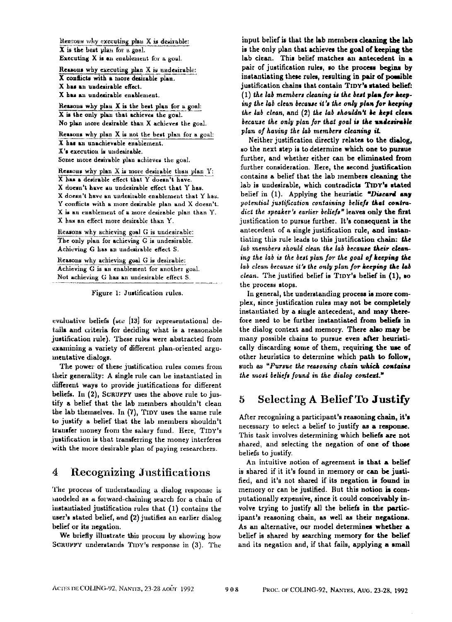Hereous why executing plan  $X$  is desirable:  $X$  is the best plan for  $B$  goal. Executing  $X$  is an enablement for a goal.

Reasons why executing plan X is undesirable: X conflicts with a more desirable plan. **X** has an uadefirable effect. X has an undesirable enablement.

Remons why plan X is the best plan for a goal: X is the only plan that achieves the goal. No plan more desirable than X achieves the goal.

Reasons why plan  $X$  is not the best plan for a goal: X has an unachievable ensblement. X's execution is undesirable. Some more desirable plan achieves the goal.

Reasons why plan  $X$  is more desirable than plan  $Y$ :  $X$  has a desirable effect that  $Y$  doesn't have.  $X$  doesn't have an undesirable effect that  $Y$  has. X doesn't have an undesirable enablement that Y has. Y conflicts with a more desirable plan and X doesn't. X is an enablement of a more desirable plan than Y.  $X$  has an effect more desirable than  $Y$ .

Reasons why achieving goal G is undesirable: The only plan for achieving G is undesirable. Achieving G has an undesirable effect S.

Reasons why achieving goal G is desirable: Achieving G is an enablement for another goal. Not achieving G has an undesirable effect S.

Figure 1: Justification rules.

evaluative beliefs (see  $[13]$  for representational details and criteria for dedding what is a reasonable justification rule). These rules were abstracted from examining a variety of different plan-oriented argumentative dialogs.

The power of these justification rules comes from their generality: A single rule can be instantiated in different ways to provide justifications for different beliefs. In (2), SCRUFFY USes the above rule to justify a belief that the lab members shouldn't clean the lab themselves. In (7), TIDY uses the same rule to justify a belief that the lab members shouldn't transfer money from the salary fund. Here, TIDY's justification is that tranderring the money interferes with the more desirable plan of paying researchers.

# **4** Recognizing Justifications

The process of understanding a dialog response is modeled as a forwar&chaining search for a chain of instantiated justification rules that (1) contains the user's stated belief, and (2) justifies an earlier dialog belief or its negation.

We briefly illustrate this process by showing how SCRUFFY understands TIDY's response in (3). The

input belief is that the lab members cleaning the lab is the only plan that achieves the goal of keeping the lab clean. This belief matches an antecedent in a pair of justification rules, so the process begins by inetantiating these rules, resulting in pair of possible justification chains that contain TIDY's stated belief: (1) the *lab* members cleaning is the best plan for keeping the lab clean because it's the only plan for keeping *the lab clean, and (2) the lab shouldn't be kept clean because the only plan for that goal is the undesirable plan of having the lab members cleaning iL* 

Neither justification directly relates to the dialog, so the next step is to determine which one to pursue further, and whether either can be eliminated from further consideration. Here, the second justification contains a belief that the lab members cleaning the lab is undesirable, which contradicts TIDY's stated belief in  $(1)$ . Applying the heuristic "Discard any *potential justification containing beliefs that contradict the speaker's earlier beliefs"* leaves only the first justification to pursue further. It's consequent in the antecedent of a single justification rule, and instantiating this rule leads to this justification chain: the *lab members should clean the lab because their elear~.*  ing the lab is the best plan for the goal of keeping the *lab clean because it's the only plan for keeping the lab clean.* The justified belief is TIDY's belief in (1), so the process stops.

In general, the understanding process is more complex, since justification rules may not be completely instantiated by a single antecedent, and may therefore need to be further instantiated from beliefs in the dialog context and memory. There also may be many possible chains to pursue even after heuristically discarding some of them, requiring the use of other heuristics to determine which path to follow, such as "Pursue the reasoning chain which contains the most beliefs found in the dialog context."

# **5 Selecting A** Belief To Justify

After recognizing a participant's reasoning chain, it's necessary to select a belief to justify as a response. This task involves determining which beliefs are not shared, and selecting the negation of one of those beliefs to justify.

An intuitive notion of agreement is that a belief is shared if it it's found in memory or can be justified, and it's not shared if its negation is found in memory or can be justified. But this notion is computationally expensive, since it could conceivably in. volve trying to justify all the beliefs in the participant's reasoning chain, as well as their negations. As an alternative, our model determines whether a belief is shared by searching memory for the belief and its negation and, if that fails, applying a small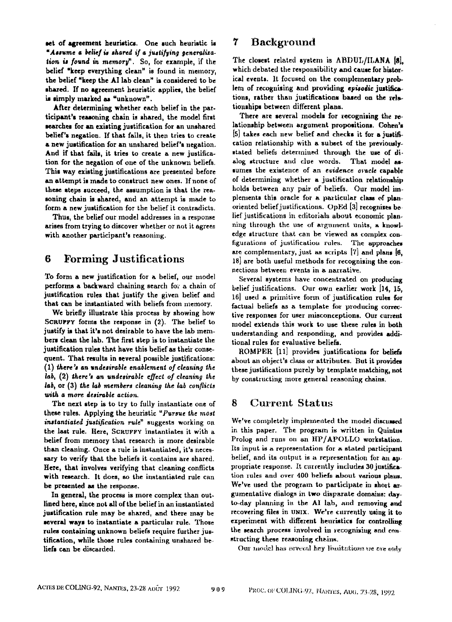set of agreement heuristics. One such heuristic is *"Assume a belief is sassed if a justil~ling* geaera//za*lion is found in memory*". So, for example, if the belief "keep everything clean" is found in memory, the belief "keep the AI lab clean" is considered to be shared. If no agreement heuristic applies, the belief is simply marked as "unknown".

After determining whether each belief in the participant's reasoning chain is shared, the model first searches for an existing justification for an unshared belief's negation. If that fails, it then tries to create a new justification for an unshared belief's negation. And if that fails, it tries to create a new justification for the negation of one of the unknown beliefs. This way existing justifications are presented before an attempt is made to construct new ones. If none of these steps succeed, the assumption is that the reasoning chain is shared, and an attempt is made to form a new justification for the belief it contradicts.

Thus, the belief our model addresses in a response arises from trying to discover whether or not it agrees with another participant's reasoning.

### **6** Forming Justifications

To form a new justification for a belief, our model performs a backward chaining search for a chain of justification rules that justify the given belief and that can be instantiated with beliefs from memory.

We briefly illustrate this process by showing how SCRUPPY forms the response in (2). The belief to justify is that it's not desirable to have the lab members clean the lab. The first step is to instantiate the justification rules that have this belief as their consequent. That results in several possible justifications: (1) there's an *undesirable enablement of cleaning the lab,* (2) there's *an undesirable effecf of cleaning the lab,* or (3) the *lab members cleaning the lab conflicts with a more desirable action.* 

The next step is to try to fully instantiate one of these rules. Applying the heuristic *"Pursue the most instantiafed justification rule"* suggests working on the last rule. Here, SCRUFFY instantiates it with a belief from memory that research is more desirable than cleaning. Once a rule is instantiated, it's necessary to verify that the beliefs it contains are shared. Here, that involves verifying that cleaning conflicts with research. It does, so the instantiated rule can be presented an the response.

In general, the process is more complex than outlined here, since not all of the belief in an iustantiated justification rule may be shared, and there may be several ways to instantiate a particular rule. Those rules containing unknown beliefs require further justification, while those rules containing unshared beliefs can be discarded.

#### 7 Background

The closest related system is ABDUL/ILANA [8], which debated the responsibility and cause for historical events. It focused on the complementary problem of recognizing and providing *episodic* justifications, rather than justifications based on the relationships between different plans.

There are several models for recognising the relationship between argument propositions. Cobea's [5] takes each new belief and checks it for a justification relationship with a subset of the previouslystated beliefs determined through the use of dialog structure and clue words. That model assumes the existence of an *evidence oracle* capable of determining whether a justification relationship holds between any pair of beliefs. Our model implements this oracle for a particular class of planoriented belief justifications. OpEd  $[3]$  recognises bo. lief justifications in editorials about economic planning through the use of argument units, a knowledge structure that can be viewed as complex configurations of justification rules. The approaches are complementary, just as scripts [7] and plans [6, 18] are both useful methods for recognizing the connections between events in a narrative.

Several systems have concentrated on producing belief justifications. Our own earlier work [14, 15,  $16$ ] used a primitive form of justification rules for factual beliefs as a template for producing corrective responses for user misconceptions. Our current model extends this work to use these rules in both understanding and responding, and provides additional rules for evaluative beliefs.

ROMPER [11] provides justifications for beliefs about an object's class or attributes. But it provides these justifications purely by template matching, not by constructing more general reasoning chains.

#### 8 Current Status

We've completely implemented the model discussed in this paper. The program is written in Quintus Prolog and runs on an HP/APOLLO workstation. Its input is a representation for a stated participant belief, and its output is a representation for an appropriate response. It currently includes 30 justification rules and over 400 beliefs about various plans. We've used the program to participate in short argumentative dialogs in two disparate domains: dayto~day planning in the A! lab, and removing and recovering files in UNIX. We're currently using it to experiment with different heuristics for controlling the search process involved in recognising and constructing these reasoning chains.

Our model has several key limitations we are only